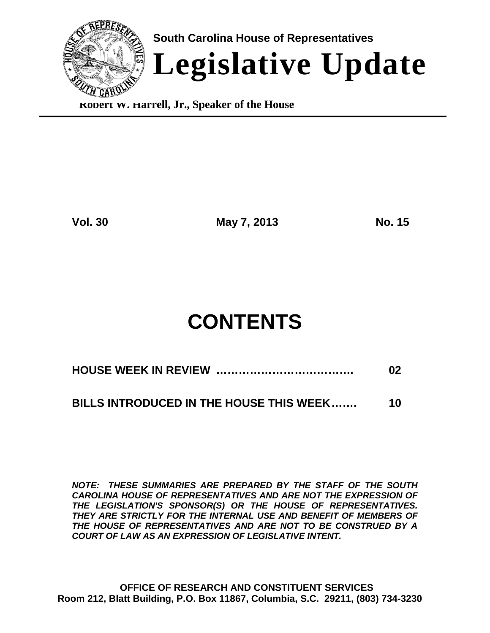

**Robert W. Harrell, Jr., Speaker of the House**

**Vol. 30 May 7, 2013 No. 15**

# **CONTENTS**

**BILLS INTRODUCED IN THE HOUSE THIS WEEK……. 10**

*NOTE: THESE SUMMARIES ARE PREPARED BY THE STAFF OF THE SOUTH CAROLINA HOUSE OF REPRESENTATIVES AND ARE NOT THE EXPRESSION OF THE LEGISLATION'S SPONSOR(S) OR THE HOUSE OF REPRESENTATIVES. THEY ARE STRICTLY FOR THE INTERNAL USE AND BENEFIT OF MEMBERS OF THE HOUSE OF REPRESENTATIVES AND ARE NOT TO BE CONSTRUED BY A COURT OF LAW AS AN EXPRESSION OF LEGISLATIVE INTENT.*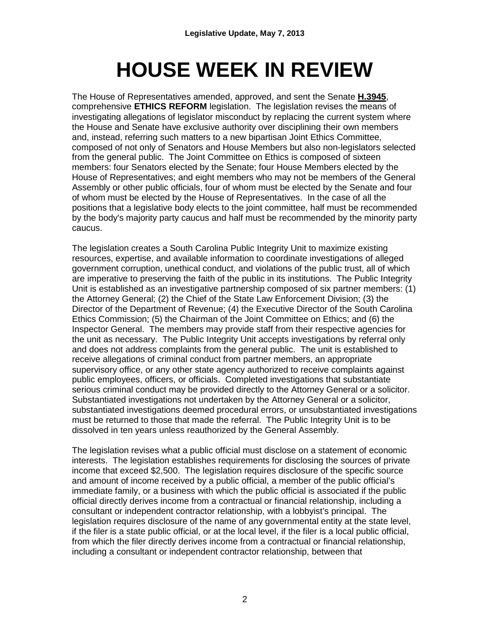# **HOUSE WEEK IN REVIEW**

The House of Representatives amended, approved, and sent the Senate **H.3945**, comprehensive **ETHICS REFORM** legislation. The legislation revises the means of investigating allegations of legislator misconduct by replacing the current system where the House and Senate have exclusive authority over disciplining their own members and, instead, referring such matters to a new bipartisan Joint Ethics Committee, composed of not only of Senators and House Members but also non-legislators selected from the general public. The Joint Committee on Ethics is composed of sixteen members: four Senators elected by the Senate; four House Members elected by the House of Representatives; and eight members who may not be members of the General Assembly or other public officials, four of whom must be elected by the Senate and four of whom must be elected by the House of Representatives. In the case of all the positions that a legislative body elects to the joint committee, half must be recommended by the body's majority party caucus and half must be recommended by the minority party caucus.

The legislation creates a South Carolina Public Integrity Unit to maximize existing resources, expertise, and available information to coordinate investigations of alleged government corruption, unethical conduct, and violations of the public trust, all of which are imperative to preserving the faith of the public in its institutions. The Public Integrity Unit is established as an investigative partnership composed of six partner members: (1) the Attorney General; (2) the Chief of the State Law Enforcement Division; (3) the Director of the Department of Revenue; (4) the Executive Director of the South Carolina Ethics Commission; (5) the Chairman of the Joint Committee on Ethics; and (6) the Inspector General. The members may provide staff from their respective agencies for the unit as necessary. The Public Integrity Unit accepts investigations by referral only and does not address complaints from the general public. The unit is established to receive allegations of criminal conduct from partner members, an appropriate supervisory office, or any other state agency authorized to receive complaints against public employees, officers, or officials. Completed investigations that substantiate serious criminal conduct may be provided directly to the Attorney General or a solicitor. Substantiated investigations not undertaken by the Attorney General or a solicitor, substantiated investigations deemed procedural errors, or unsubstantiated investigations must be returned to those that made the referral. The Public Integrity Unit is to be dissolved in ten years unless reauthorized by the General Assembly.

The legislation revises what a public official must disclose on a statement of economic interests. The legislation establishes requirements for disclosing the sources of private income that exceed \$2,500. The legislation requires disclosure of the specific source and amount of income received by a public official, a member of the public official's immediate family, or a business with which the public official is associated if the public official directly derives income from a contractual or financial relationship, including a consultant or independent contractor relationship, with a lobbyist's principal. The legislation requires disclosure of the name of any governmental entity at the state level, if the filer is a state public official, or at the local level, if the filer is a local public official, from which the filer directly derives income from a contractual or financial relationship, including a consultant or independent contractor relationship, between that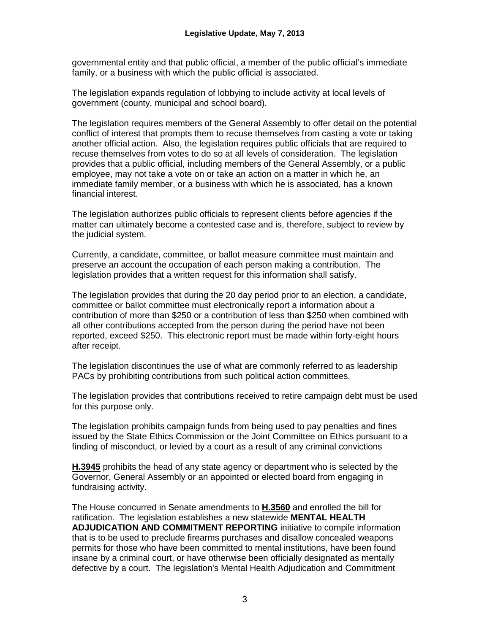governmental entity and that public official, a member of the public official's immediate family, or a business with which the public official is associated.

The legislation expands regulation of lobbying to include activity at local levels of government (county, municipal and school board).

The legislation requires members of the General Assembly to offer detail on the potential conflict of interest that prompts them to recuse themselves from casting a vote or taking another official action. Also, the legislation requires public officials that are required to recuse themselves from votes to do so at all levels of consideration. The legislation provides that a public official, including members of the General Assembly, or a public employee, may not take a vote on or take an action on a matter in which he, an immediate family member, or a business with which he is associated, has a known financial interest.

The legislation authorizes public officials to represent clients before agencies if the matter can ultimately become a contested case and is, therefore, subject to review by the judicial system.

Currently, a candidate, committee, or ballot measure committee must maintain and preserve an account the occupation of each person making a contribution. The legislation provides that a written request for this information shall satisfy.

The legislation provides that during the 20 day period prior to an election, a candidate, committee or ballot committee must electronically report a information about a contribution of more than \$250 or a contribution of less than \$250 when combined with all other contributions accepted from the person during the period have not been reported, exceed \$250. This electronic report must be made within forty-eight hours after receipt.

The legislation discontinues the use of what are commonly referred to as leadership PACs by prohibiting contributions from such political action committees.

The legislation provides that contributions received to retire campaign debt must be used for this purpose only.

The legislation prohibits campaign funds from being used to pay penalties and fines issued by the State Ethics Commission or the Joint Committee on Ethics pursuant to a finding of misconduct, or levied by a court as a result of any criminal convictions

**H.3945** prohibits the head of any state agency or department who is selected by the Governor, General Assembly or an appointed or elected board from engaging in fundraising activity.

The House concurred in Senate amendments to **H.3560** and enrolled the bill for ratification. The legislation establishes a new statewide **MENTAL HEALTH ADJUDICATION AND COMMITMENT REPORTING** initiative to compile information that is to be used to preclude firearms purchases and disallow concealed weapons permits for those who have been committed to mental institutions, have been found insane by a criminal court, or have otherwise been officially designated as mentally defective by a court. The legislation's Mental Health Adjudication and Commitment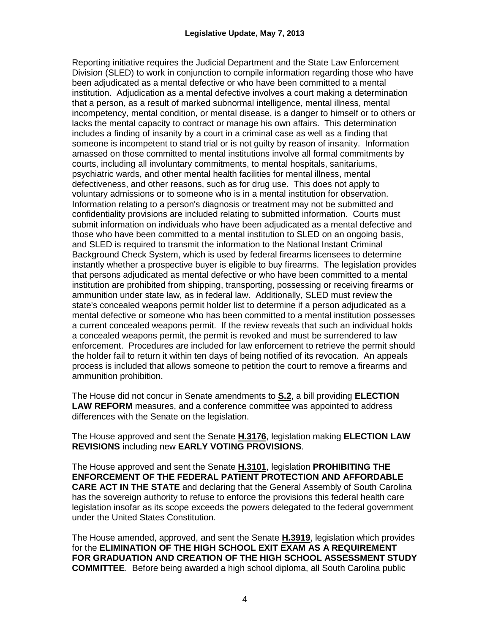Reporting initiative requires the Judicial Department and the State Law Enforcement Division (SLED) to work in conjunction to compile information regarding those who have been adjudicated as a mental defective or who have been committed to a mental institution. Adjudication as a mental defective involves a court making a determination that a person, as a result of marked subnormal intelligence, mental illness, mental incompetency, mental condition, or mental disease, is a danger to himself or to others or lacks the mental capacity to contract or manage his own affairs. This determination includes a finding of insanity by a court in a criminal case as well as a finding that someone is incompetent to stand trial or is not guilty by reason of insanity. Information amassed on those committed to mental institutions involve all formal commitments by courts, including all involuntary commitments, to mental hospitals, sanitariums, psychiatric wards, and other mental health facilities for mental illness, mental defectiveness, and other reasons, such as for drug use. This does not apply to voluntary admissions or to someone who is in a mental institution for observation. Information relating to a person's diagnosis or treatment may not be submitted and confidentiality provisions are included relating to submitted information. Courts must submit information on individuals who have been adjudicated as a mental defective and those who have been committed to a mental institution to SLED on an ongoing basis, and SLED is required to transmit the information to the National Instant Criminal Background Check System, which is used by federal firearms licensees to determine instantly whether a prospective buyer is eligible to buy firearms. The legislation provides that persons adjudicated as mental defective or who have been committed to a mental institution are prohibited from shipping, transporting, possessing or receiving firearms or ammunition under state law, as in federal law. Additionally, SLED must review the state's concealed weapons permit holder list to determine if a person adjudicated as a mental defective or someone who has been committed to a mental institution possesses a current concealed weapons permit. If the review reveals that such an individual holds a concealed weapons permit, the permit is revoked and must be surrendered to law enforcement. Procedures are included for law enforcement to retrieve the permit should the holder fail to return it within ten days of being notified of its revocation. An appeals process is included that allows someone to petition the court to remove a firearms and ammunition prohibition.

The House did not concur in Senate amendments to **S.2**, a bill providing **ELECTION LAW REFORM** measures, and a conference committee was appointed to address differences with the Senate on the legislation.

The House approved and sent the Senate **H.3176**, legislation making **ELECTION LAW REVISIONS** including new **EARLY VOTING PROVISIONS**.

The House approved and sent the Senate **H.3101**, legislation **PROHIBITING THE ENFORCEMENT OF THE FEDERAL PATIENT PROTECTION AND AFFORDABLE CARE ACT IN THE STATE** and declaring that the General Assembly of South Carolina has the sovereign authority to refuse to enforce the provisions this federal health care legislation insofar as its scope exceeds the powers delegated to the federal government under the United States Constitution.

The House amended, approved, and sent the Senate **H.3919**, legislation which provides for the **ELIMINATION OF THE HIGH SCHOOL EXIT EXAM AS A REQUIREMENT FOR GRADUATION AND CREATION OF THE HIGH SCHOOL ASSESSMENT STUDY COMMITTEE**. Before being awarded a high school diploma, all South Carolina public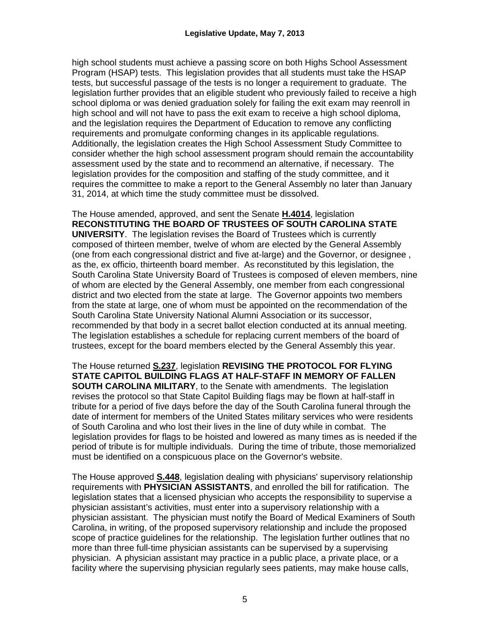high school students must achieve a passing score on both Highs School Assessment Program (HSAP) tests. This legislation provides that all students must take the HSAP tests, but successful passage of the tests is no longer a requirement to graduate. The legislation further provides that an eligible student who previously failed to receive a high school diploma or was denied graduation solely for failing the exit exam may reenroll in high school and will not have to pass the exit exam to receive a high school diploma, and the legislation requires the Department of Education to remove any conflicting requirements and promulgate conforming changes in its applicable regulations. Additionally, the legislation creates the High School Assessment Study Committee to consider whether the high school assessment program should remain the accountability assessment used by the state and to recommend an alternative, if necessary. The legislation provides for the composition and staffing of the study committee, and it requires the committee to make a report to the General Assembly no later than January 31, 2014, at which time the study committee must be dissolved.

The House amended, approved, and sent the Senate **H.4014**, legislation **RECONSTITUTING THE BOARD OF TRUSTEES OF SOUTH CAROLINA STATE UNIVERSITY**. The legislation revises the Board of Trustees which is currently composed of thirteen member, twelve of whom are elected by the General Assembly (one from each congressional district and five at-large) and the Governor, or designee , as the, ex officio, thirteenth board member. As reconstituted by this legislation, the South Carolina State University Board of Trustees is composed of eleven members, nine of whom are elected by the General Assembly, one member from each congressional district and two elected from the state at large. The Governor appoints two members from the state at large, one of whom must be appointed on the recommendation of the South Carolina State University National Alumni Association or its successor, recommended by that body in a secret ballot election conducted at its annual meeting. The legislation establishes a schedule for replacing current members of the board of trustees, except for the board members elected by the General Assembly this year.

The House returned **S.237**, legislation **REVISING THE PROTOCOL FOR FLYING STATE CAPITOL BUILDING FLAGS AT HALF-STAFF IN MEMORY OF FALLEN SOUTH CAROLINA MILITARY**, to the Senate with amendments. The legislation revises the protocol so that State Capitol Building flags may be flown at half-staff in tribute for a period of five days before the day of the South Carolina funeral through the date of interment for members of the United States military services who were residents of South Carolina and who lost their lives in the line of duty while in combat. The legislation provides for flags to be hoisted and lowered as many times as is needed if the period of tribute is for multiple individuals. During the time of tribute, those memorialized must be identified on a conspicuous place on the Governor's website.

The House approved **S.448**, legislation dealing with physicians' supervisory relationship requirements with **PHYSICIAN ASSISTANTS**, and enrolled the bill for ratification. The legislation states that a licensed physician who accepts the responsibility to supervise a physician assistant's activities, must enter into a supervisory relationship with a physician assistant. The physician must notify the Board of Medical Examiners of South Carolina, in writing, of the proposed supervisory relationship and include the proposed scope of practice guidelines for the relationship. The legislation further outlines that no more than three full-time physician assistants can be supervised by a supervising physician. A physician assistant may practice in a public place, a private place, or a facility where the supervising physician regularly sees patients, may make house calls,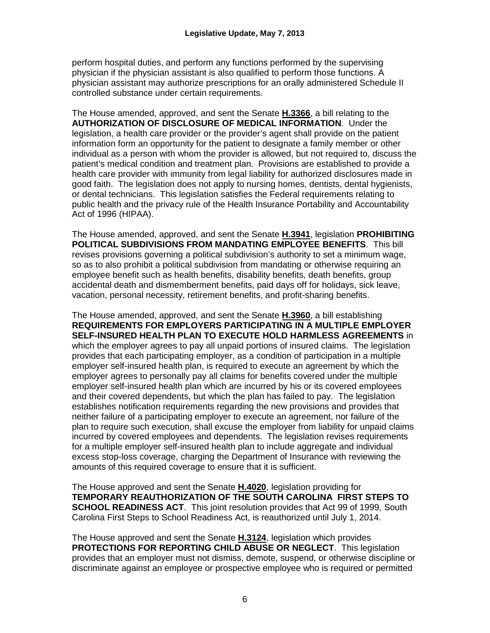perform hospital duties, and perform any functions performed by the supervising physician if the physician assistant is also qualified to perform those functions. A physician assistant may authorize prescriptions for an orally administered Schedule II controlled substance under certain requirements.

The House amended, approved, and sent the Senate **H.3366**, a bill relating to the **AUTHORIZATION OF DISCLOSURE OF MEDICAL INFORMATION**. Under the legislation, a health care provider or the provider's agent shall provide on the patient information form an opportunity for the patient to designate a family member or other individual as a person with whom the provider is allowed, but not required to, discuss the patient's medical condition and treatment plan. Provisions are established to provide a health care provider with immunity from legal liability for authorized disclosures made in good faith. The legislation does not apply to nursing homes, dentists, dental hygienists, or dental technicians. This legislation satisfies the Federal requirements relating to public health and the privacy rule of the Health Insurance Portability and Accountability Act of 1996 (HIPAA).

The House amended, approved, and sent the Senate **H.3941**, legislation **PROHIBITING POLITICAL SUBDIVISIONS FROM MANDATING EMPLOYEE BENEFITS**. This bill revises provisions governing a political subdivision's authority to set a minimum wage, so as to also prohibit a political subdivision from mandating or otherwise requiring an employee benefit such as health benefits, disability benefits, death benefits, group accidental death and dismemberment benefits, paid days off for holidays, sick leave, vacation, personal necessity, retirement benefits, and profit-sharing benefits.

The House amended, approved, and sent the Senate **H.3960**, a bill establishing **REQUIREMENTS FOR EMPLOYERS PARTICIPATING IN A MULTIPLE EMPLOYER SELF-INSURED HEALTH PLAN TO EXECUTE HOLD HARMLESS AGREEMENTS** in which the employer agrees to pay all unpaid portions of insured claims. The legislation provides that each participating employer, as a condition of participation in a multiple employer self-insured health plan, is required to execute an agreement by which the employer agrees to personally pay all claims for benefits covered under the multiple employer self-insured health plan which are incurred by his or its covered employees and their covered dependents, but which the plan has failed to pay. The legislation establishes notification requirements regarding the new provisions and provides that neither failure of a participating employer to execute an agreement, nor failure of the plan to require such execution, shall excuse the employer from liability for unpaid claims incurred by covered employees and dependents. The legislation revises requirements for a multiple employer self-insured health plan to include aggregate and individual excess stop-loss coverage, charging the Department of Insurance with reviewing the amounts of this required coverage to ensure that it is sufficient.

The House approved and sent the Senate **H.4020**, legislation providing for **TEMPORARY REAUTHORIZATION OF THE SOUTH CAROLINA FIRST STEPS TO SCHOOL READINESS ACT**. This joint resolution provides that Act 99 of 1999, South Carolina First Steps to School Readiness Act, is reauthorized until July 1, 2014.

The House approved and sent the Senate **H.3124**, legislation which provides **PROTECTIONS FOR REPORTING CHILD ABUSE OR NEGLECT**. This legislation provides that an employer must not dismiss, demote, suspend, or otherwise discipline or discriminate against an employee or prospective employee who is required or permitted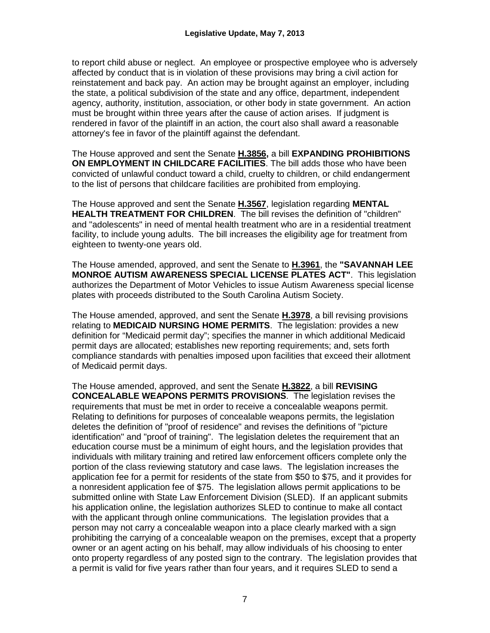to report child abuse or neglect. An employee or prospective employee who is adversely affected by conduct that is in violation of these provisions may bring a civil action for reinstatement and back pay. An action may be brought against an employer, including the state, a political subdivision of the state and any office, department, independent agency, authority, institution, association, or other body in state government. An action must be brought within three years after the cause of action arises. If judgment is rendered in favor of the plaintiff in an action, the court also shall award a reasonable attorney's fee in favor of the plaintiff against the defendant.

The House approved and sent the Senate **H.3856,** a bill **EXPANDING PROHIBITIONS ON EMPLOYMENT IN CHILDCARE FACILITIES**. The bill adds those who have been convicted of unlawful conduct toward a child, cruelty to children, or child endangerment to the list of persons that childcare facilities are prohibited from employing.

The House approved and sent the Senate **H.3567**, legislation regarding **MENTAL HEALTH TREATMENT FOR CHILDREN**. The bill revises the definition of "children" and "adolescents" in need of mental health treatment who are in a residential treatment facility, to include young adults. The bill increases the eligibility age for treatment from eighteen to twenty-one years old.

The House amended, approved, and sent the Senate to **H.3961**, the **"SAVANNAH LEE MONROE AUTISM AWARENESS SPECIAL LICENSE PLATES ACT"**. This legislation authorizes the Department of Motor Vehicles to issue Autism Awareness special license plates with proceeds distributed to the South Carolina Autism Society.

The House amended, approved, and sent the Senate **H.3978**, a bill revising provisions relating to **MEDICAID NURSING HOME PERMITS**. The legislation: provides a new definition for "Medicaid permit day"; specifies the manner in which additional Medicaid permit days are allocated; establishes new reporting requirements; and, sets forth compliance standards with penalties imposed upon facilities that exceed their allotment of Medicaid permit days.

The House amended, approved, and sent the Senate **H.3822**, a bill **REVISING CONCEALABLE WEAPONS PERMITS PROVISIONS**. The legislation revises the requirements that must be met in order to receive a concealable weapons permit. Relating to definitions for purposes of concealable weapons permits, the legislation deletes the definition of "proof of residence" and revises the definitions of "picture identification" and "proof of training". The legislation deletes the requirement that an education course must be a minimum of eight hours, and the legislation provides that individuals with military training and retired law enforcement officers complete only the portion of the class reviewing statutory and case laws. The legislation increases the application fee for a permit for residents of the state from \$50 to \$75, and it provides for a nonresident application fee of \$75. The legislation allows permit applications to be submitted online with State Law Enforcement Division (SLED). If an applicant submits his application online, the legislation authorizes SLED to continue to make all contact with the applicant through online communications. The legislation provides that a person may not carry a concealable weapon into a place clearly marked with a sign prohibiting the carrying of a concealable weapon on the premises, except that a property owner or an agent acting on his behalf, may allow individuals of his choosing to enter onto property regardless of any posted sign to the contrary. The legislation provides that a permit is valid for five years rather than four years, and it requires SLED to send a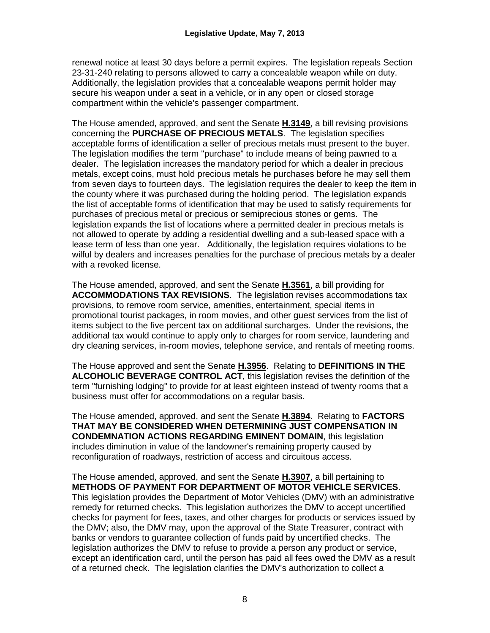renewal notice at least 30 days before a permit expires. The legislation repeals Section 23-31-240 relating to persons allowed to carry a concealable weapon while on duty. Additionally, the legislation provides that a concealable weapons permit holder may secure his weapon under a seat in a vehicle, or in any open or closed storage compartment within the vehicle's passenger compartment.

The House amended, approved, and sent the Senate **H.3149**, a bill revising provisions concerning the **PURCHASE OF PRECIOUS METALS**. The legislation specifies acceptable forms of identification a seller of precious metals must present to the buyer. The legislation modifies the term "purchase" to include means of being pawned to a dealer. The legislation increases the mandatory period for which a dealer in precious metals, except coins, must hold precious metals he purchases before he may sell them from seven days to fourteen days. The legislation requires the dealer to keep the item in the county where it was purchased during the holding period. The legislation expands the list of acceptable forms of identification that may be used to satisfy requirements for purchases of precious metal or precious or semiprecious stones or gems. The legislation expands the list of locations where a permitted dealer in precious metals is not allowed to operate by adding a residential dwelling and a sub-leased space with a lease term of less than one year. Additionally, the legislation requires violations to be wilful by dealers and increases penalties for the purchase of precious metals by a dealer with a revoked license.

The House amended, approved, and sent the Senate **H.3561**, a bill providing for **ACCOMMODATIONS TAX REVISIONS**. The legislation revises accommodations tax provisions, to remove room service, amenities, entertainment, special items in promotional tourist packages, in room movies, and other guest services from the list of items subject to the five percent tax on additional surcharges. Under the revisions, the additional tax would continue to apply only to charges for room service, laundering and dry cleaning services, in-room movies, telephone service, and rentals of meeting rooms.

The House approved and sent the Senate **H.3956**. Relating to **DEFINITIONS IN THE ALCOHOLIC BEVERAGE CONTROL ACT**, this legislation revises the definition of the term "furnishing lodging" to provide for at least eighteen instead of twenty rooms that a business must offer for accommodations on a regular basis.

The House amended, approved, and sent the Senate **H.3894**. Relating to **FACTORS THAT MAY BE CONSIDERED WHEN DETERMINING JUST COMPENSATION IN CONDEMNATION ACTIONS REGARDING EMINENT DOMAIN**, this legislation includes diminution in value of the landowner's remaining property caused by reconfiguration of roadways, restriction of access and circuitous access.

The House amended, approved, and sent the Senate **H.3907**, a bill pertaining to **METHODS OF PAYMENT FOR DEPARTMENT OF MOTOR VEHICLE SERVICES**. This legislation provides the Department of Motor Vehicles (DMV) with an administrative remedy for returned checks. This legislation authorizes the DMV to accept uncertified checks for payment for fees, taxes, and other charges for products or services issued by the DMV; also, the DMV may, upon the approval of the State Treasurer, contract with banks or vendors to guarantee collection of funds paid by uncertified checks. The legislation authorizes the DMV to refuse to provide a person any product or service, except an identification card, until the person has paid all fees owed the DMV as a result of a returned check. The legislation clarifies the DMV's authorization to collect a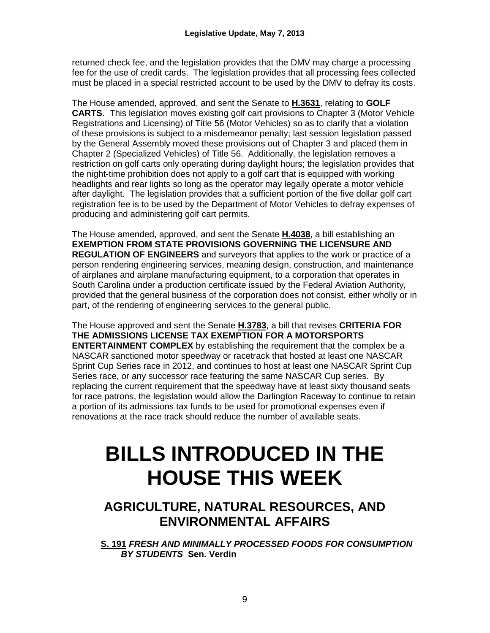returned check fee, and the legislation provides that the DMV may charge a processing fee for the use of credit cards. The legislation provides that all processing fees collected must be placed in a special restricted account to be used by the DMV to defray its costs.

The House amended, approved, and sent the Senate to **H.3631**, relating to **GOLF CARTS**. This legislation moves existing golf cart provisions to Chapter 3 (Motor Vehicle Registrations and Licensing) of Title 56 (Motor Vehicles) so as to clarify that a violation of these provisions is subject to a misdemeanor penalty; last session legislation passed by the General Assembly moved these provisions out of Chapter 3 and placed them in Chapter 2 (Specialized Vehicles) of Title 56. Additionally, the legislation removes a restriction on golf carts only operating during daylight hours; the legislation provides that the night-time prohibition does not apply to a golf cart that is equipped with working headlights and rear lights so long as the operator may legally operate a motor vehicle after daylight. The legislation provides that a sufficient portion of the five dollar golf cart registration fee is to be used by the Department of Motor Vehicles to defray expenses of producing and administering golf cart permits.

The House amended, approved, and sent the Senate **H.4038**, a bill establishing an **EXEMPTION FROM STATE PROVISIONS GOVERNING THE LICENSURE AND REGULATION OF ENGINEERS** and surveyors that applies to the work or practice of a person rendering engineering services, meaning design, construction, and maintenance of airplanes and airplane manufacturing equipment, to a corporation that operates in South Carolina under a production certificate issued by the Federal Aviation Authority, provided that the general business of the corporation does not consist, either wholly or in part, of the rendering of engineering services to the general public.

The House approved and sent the Senate **H.3783**, a bill that revises **CRITERIA FOR THE ADMISSIONS LICENSE TAX EXEMPTION FOR A MOTORSPORTS ENTERTAINMENT COMPLEX** by establishing the requirement that the complex be a NASCAR sanctioned motor speedway or racetrack that hosted at least one NASCAR Sprint Cup Series race in 2012, and continues to host at least one NASCAR Sprint Cup Series race, or any successor race featuring the same NASCAR Cup series. By replacing the current requirement that the speedway have at least sixty thousand seats for race patrons, the legislation would allow the Darlington Raceway to continue to retain a portion of its admissions tax funds to be used for promotional expenses even if renovations at the race track should reduce the number of available seats.

# **BILLS INTRODUCED IN THE HOUSE THIS WEEK**

# **AGRICULTURE, NATURAL RESOURCES, AND ENVIRONMENTAL AFFAIRS**

**S. 191** *FRESH AND MINIMALLY PROCESSED FOODS FOR CONSUMPTION BY STUDENTS* **Sen. Verdin**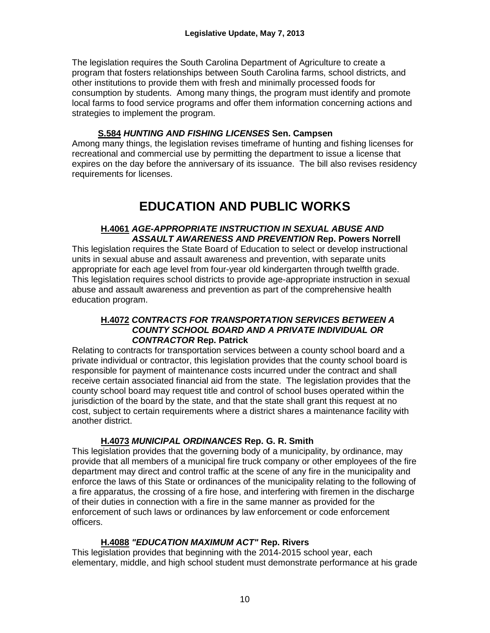The legislation requires the South Carolina Department of Agriculture to create a program that fosters relationships between South Carolina farms, school districts, and other institutions to provide them with fresh and minimally processed foods for consumption by students. Among many things, the program must identify and promote local farms to food service programs and offer them information concerning actions and strategies to implement the program.

### **S.584** *HUNTING AND FISHING LICENSES* **Sen. Campsen**

Among many things, the legislation revises timeframe of hunting and fishing licenses for recreational and commercial use by permitting the department to issue a license that expires on the day before the anniversary of its issuance. The bill also revises residency requirements for licenses.

# **EDUCATION AND PUBLIC WORKS**

#### **H.4061** *AGE-APPROPRIATE INSTRUCTION IN SEXUAL ABUSE AND ASSAULT AWARENESS AND PREVENTION* **Rep. Powers Norrell**

This legislation requires the State Board of Education to select or develop instructional units in sexual abuse and assault awareness and prevention, with separate units appropriate for each age level from four-year old kindergarten through twelfth grade. This legislation requires school districts to provide age-appropriate instruction in sexual abuse and assault awareness and prevention as part of the comprehensive health education program.

#### **H.4072** *CONTRACTS FOR TRANSPORTATION SERVICES BETWEEN A COUNTY SCHOOL BOARD AND A PRIVATE INDIVIDUAL OR CONTRACTOR* **Rep. Patrick**

Relating to contracts for transportation services between a county school board and a private individual or contractor, this legislation provides that the county school board is responsible for payment of maintenance costs incurred under the contract and shall receive certain associated financial aid from the state. The legislation provides that the county school board may request title and control of school buses operated within the jurisdiction of the board by the state, and that the state shall grant this request at no cost, subject to certain requirements where a district shares a maintenance facility with another district.

# **H.4073** *MUNICIPAL ORDINANCES* **Rep. G. R. Smith**

This legislation provides that the governing body of a municipality, by ordinance, may provide that all members of a municipal fire truck company or other employees of the fire department may direct and control traffic at the scene of any fire in the municipality and enforce the laws of this State or ordinances of the municipality relating to the following of a fire apparatus, the crossing of a fire hose, and interfering with firemen in the discharge of their duties in connection with a fire in the same manner as provided for the enforcement of such laws or ordinances by law enforcement or code enforcement officers.

# **H.4088** *"EDUCATION MAXIMUM ACT"* **Rep. Rivers**

This legislation provides that beginning with the 2014-2015 school year, each elementary, middle, and high school student must demonstrate performance at his grade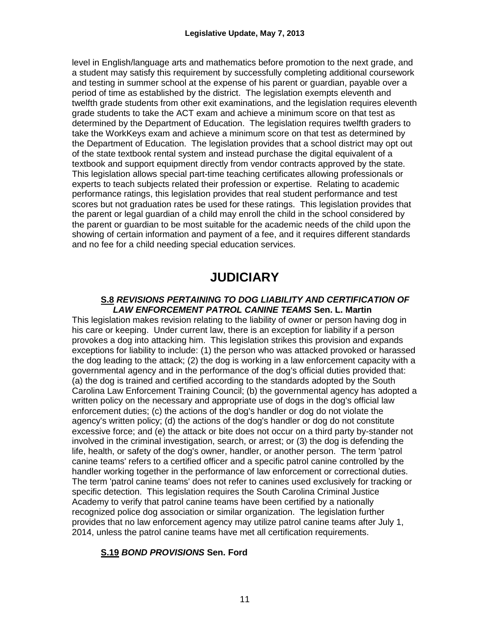level in English/language arts and mathematics before promotion to the next grade, and a student may satisfy this requirement by successfully completing additional coursework and testing in summer school at the expense of his parent or guardian, payable over a period of time as established by the district. The legislation exempts eleventh and twelfth grade students from other exit examinations, and the legislation requires eleventh grade students to take the ACT exam and achieve a minimum score on that test as determined by the Department of Education. The legislation requires twelfth graders to take the WorkKeys exam and achieve a minimum score on that test as determined by the Department of Education. The legislation provides that a school district may opt out of the state textbook rental system and instead purchase the digital equivalent of a textbook and support equipment directly from vendor contracts approved by the state. This legislation allows special part-time teaching certificates allowing professionals or experts to teach subjects related their profession or expertise. Relating to academic performance ratings, this legislation provides that real student performance and test scores but not graduation rates be used for these ratings. This legislation provides that the parent or legal guardian of a child may enroll the child in the school considered by the parent or guardian to be most suitable for the academic needs of the child upon the showing of certain information and payment of a fee, and it requires different standards and no fee for a child needing special education services.

# **JUDICIARY**

#### **S.8** *REVISIONS PERTAINING TO DOG LIABILITY AND CERTIFICATION OF LAW ENFORCEMENT PATROL CANINE TEAMS* **Sen. L. Martin**

This legislation makes revision relating to the liability of owner or person having dog in his care or keeping. Under current law, there is an exception for liability if a person provokes a dog into attacking him. This legislation strikes this provision and expands exceptions for liability to include: (1) the person who was attacked provoked or harassed the dog leading to the attack; (2) the dog is working in a law enforcement capacity with a governmental agency and in the performance of the dog's official duties provided that: (a) the dog is trained and certified according to the standards adopted by the South Carolina Law Enforcement Training Council; (b) the governmental agency has adopted a written policy on the necessary and appropriate use of dogs in the dog's official law enforcement duties; (c) the actions of the dog's handler or dog do not violate the agency's written policy; (d) the actions of the dog's handler or dog do not constitute excessive force; and (e) the attack or bite does not occur on a third party by-stander not involved in the criminal investigation, search, or arrest; or (3) the dog is defending the life, health, or safety of the dog's owner, handler, or another person. The term 'patrol canine teams' refers to a certified officer and a specific patrol canine controlled by the handler working together in the performance of law enforcement or correctional duties. The term 'patrol canine teams' does not refer to canines used exclusively for tracking or specific detection. This legislation requires the South Carolina Criminal Justice Academy to verify that patrol canine teams have been certified by a nationally recognized police dog association or similar organization. The legislation further provides that no law enforcement agency may utilize patrol canine teams after July 1, 2014, unless the patrol canine teams have met all certification requirements.

# **S.19** *BOND PROVISIONS* **Sen. Ford**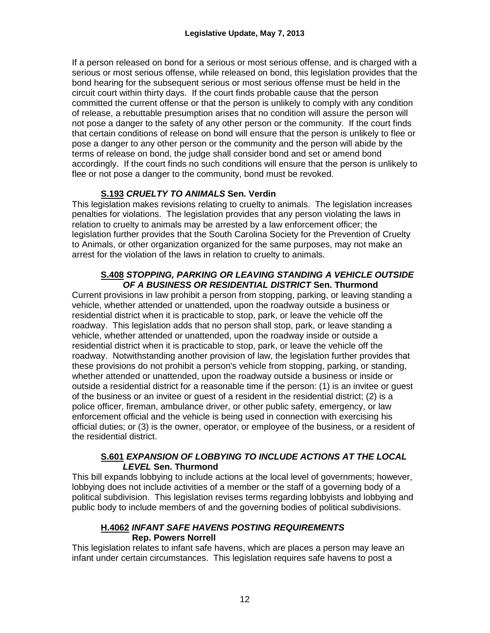If a person released on bond for a serious or most serious offense, and is charged with a serious or most serious offense, while released on bond, this legislation provides that the bond hearing for the subsequent serious or most serious offense must be held in the circuit court within thirty days. If the court finds probable cause that the person committed the current offense or that the person is unlikely to comply with any condition of release, a rebuttable presumption arises that no condition will assure the person will not pose a danger to the safety of any other person or the community. If the court finds that certain conditions of release on bond will ensure that the person is unlikely to flee or pose a danger to any other person or the community and the person will abide by the terms of release on bond, the judge shall consider bond and set or amend bond accordingly. If the court finds no such conditions will ensure that the person is unlikely to flee or not pose a danger to the community, bond must be revoked.

# **S.193** *CRUELTY TO ANIMALS* **Sen. Verdin**

This legislation makes revisions relating to cruelty to animals. The legislation increases penalties for violations. The legislation provides that any person violating the laws in relation to cruelty to animals may be arrested by a law enforcement officer; the legislation further provides that the South Carolina Society for the Prevention of Cruelty to Animals, or other organization organized for the same purposes, may not make an arrest for the violation of the laws in relation to cruelty to animals.

#### **S.408** *STOPPING, PARKING OR LEAVING STANDING A VEHICLE OUTSIDE OF A BUSINESS OR RESIDENTIAL DISTRICT* **Sen. Thurmond**

Current provisions in law prohibit a person from stopping, parking, or leaving standing a vehicle, whether attended or unattended, upon the roadway outside a business or residential district when it is practicable to stop, park, or leave the vehicle off the roadway. This legislation adds that no person shall stop, park, or leave standing a vehicle, whether attended or unattended, upon the roadway inside or outside a residential district when it is practicable to stop, park, or leave the vehicle off the roadway. Notwithstanding another provision of law, the legislation further provides that these provisions do not prohibit a person's vehicle from stopping, parking, or standing, whether attended or unattended, upon the roadway outside a business or inside or outside a residential district for a reasonable time if the person: (1) is an invitee or guest of the business or an invitee or guest of a resident in the residential district; (2) is a police officer, fireman, ambulance driver, or other public safety, emergency, or law enforcement official and the vehicle is being used in connection with exercising his official duties; or (3) is the owner, operator, or employee of the business, or a resident of the residential district.

#### **S.601** *EXPANSION OF LOBBYING TO INCLUDE ACTIONS AT THE LOCAL LEVEL* **Sen. Thurmond**

This bill expands lobbying to include actions at the local level of governments; however, lobbying does not include activities of a member or the staff of a governing body of a political subdivision. This legislation revises terms regarding lobbyists and lobbying and public body to include members of and the governing bodies of political subdivisions.

# **H.4062** *INFANT SAFE HAVENS POSTING REQUIREMENTS* **Rep. Powers Norrell**

This legislation relates to infant safe havens, which are places a person may leave an infant under certain circumstances. This legislation requires safe havens to post a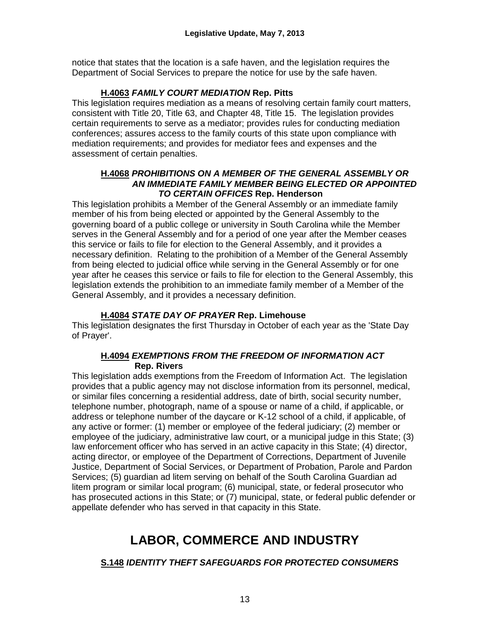notice that states that the location is a safe haven, and the legislation requires the Department of Social Services to prepare the notice for use by the safe haven.

### **H.4063** *FAMILY COURT MEDIATION* **Rep. Pitts**

This legislation requires mediation as a means of resolving certain family court matters, consistent with Title 20, Title 63, and Chapter 48, Title 15. The legislation provides certain requirements to serve as a mediator; provides rules for conducting mediation conferences; assures access to the family courts of this state upon compliance with mediation requirements; and provides for mediator fees and expenses and the assessment of certain penalties.

#### **H.4068** *PROHIBITIONS ON A MEMBER OF THE GENERAL ASSEMBLY OR AN IMMEDIATE FAMILY MEMBER BEING ELECTED OR APPOINTED TO CERTAIN OFFICES* **Rep. Henderson**

This legislation prohibits a Member of the General Assembly or an immediate family member of his from being elected or appointed by the General Assembly to the governing board of a public college or university in South Carolina while the Member serves in the General Assembly and for a period of one year after the Member ceases this service or fails to file for election to the General Assembly, and it provides a necessary definition. Relating to the prohibition of a Member of the General Assembly from being elected to judicial office while serving in the General Assembly or for one year after he ceases this service or fails to file for election to the General Assembly, this legislation extends the prohibition to an immediate family member of a Member of the General Assembly, and it provides a necessary definition.

# **H.4084** *STATE DAY OF PRAYER* **Rep. Limehouse**

This legislation designates the first Thursday in October of each year as the 'State Day of Prayer'.

#### **H.4094** *EXEMPTIONS FROM THE FREEDOM OF INFORMATION ACT* **Rep. Rivers**

This legislation adds exemptions from the Freedom of Information Act. The legislation provides that a public agency may not disclose information from its personnel, medical, or similar files concerning a residential address, date of birth, social security number, telephone number, photograph, name of a spouse or name of a child, if applicable, or address or telephone number of the daycare or K-12 school of a child, if applicable, of any active or former: (1) member or employee of the federal judiciary; (2) member or employee of the judiciary, administrative law court, or a municipal judge in this State; (3) law enforcement officer who has served in an active capacity in this State; (4) director, acting director, or employee of the Department of Corrections, Department of Juvenile Justice, Department of Social Services, or Department of Probation, Parole and Pardon Services; (5) guardian ad litem serving on behalf of the South Carolina Guardian ad litem program or similar local program; (6) municipal, state, or federal prosecutor who has prosecuted actions in this State; or (7) municipal, state, or federal public defender or appellate defender who has served in that capacity in this State.

# **LABOR, COMMERCE AND INDUSTRY**

# **S.148** *IDENTITY THEFT SAFEGUARDS FOR PROTECTED CONSUMERS*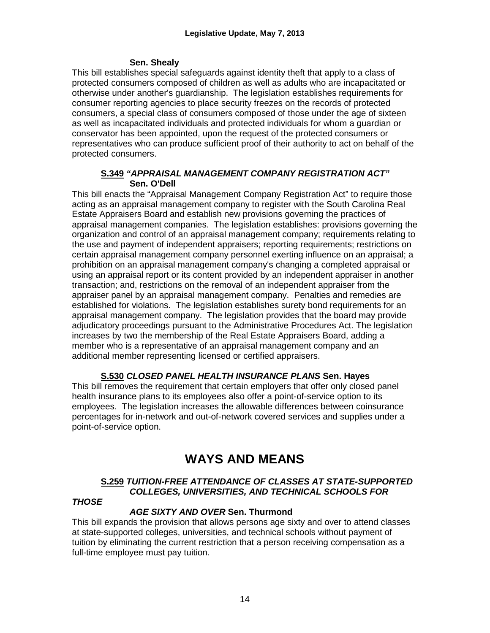#### **Sen. Shealy**

This bill establishes special safeguards against identity theft that apply to a class of protected consumers composed of children as well as adults who are incapacitated or otherwise under another's guardianship. The legislation establishes requirements for consumer reporting agencies to place security freezes on the records of protected consumers, a special class of consumers composed of those under the age of sixteen as well as incapacitated individuals and protected individuals for whom a guardian or conservator has been appointed, upon the request of the protected consumers or representatives who can produce sufficient proof of their authority to act on behalf of the protected consumers.

#### **S.349** *"APPRAISAL MANAGEMENT COMPANY REGISTRATION ACT"* **Sen. O'Dell**

This bill enacts the "Appraisal Management Company Registration Act" to require those acting as an appraisal management company to register with the South Carolina Real Estate Appraisers Board and establish new provisions governing the practices of appraisal management companies. The legislation establishes: provisions governing the organization and control of an appraisal management company; requirements relating to the use and payment of independent appraisers; reporting requirements; restrictions on certain appraisal management company personnel exerting influence on an appraisal; a prohibition on an appraisal management company's changing a completed appraisal or using an appraisal report or its content provided by an independent appraiser in another transaction; and, restrictions on the removal of an independent appraiser from the appraiser panel by an appraisal management company. Penalties and remedies are established for violations. The legislation establishes surety bond requirements for an appraisal management company. The legislation provides that the board may provide adjudicatory proceedings pursuant to the Administrative Procedures Act. The legislation increases by two the membership of the Real Estate Appraisers Board, adding a member who is a representative of an appraisal management company and an additional member representing licensed or certified appraisers.

# **S.530** *CLOSED PANEL HEALTH INSURANCE PLANS* **Sen. Hayes**

This bill removes the requirement that certain employers that offer only closed panel health insurance plans to its employees also offer a point-of-service option to its employees. The legislation increases the allowable differences between coinsurance percentages for in-network and out-of-network covered services and supplies under a point-of-service option.

# **WAYS AND MEANS**

# **S.259** *TUITION-FREE ATTENDANCE OF CLASSES AT STATE-SUPPORTED COLLEGES, UNIVERSITIES, AND TECHNICAL SCHOOLS FOR*

#### *THOSE*

# *AGE SIXTY AND OVER* **Sen. Thurmond**

This bill expands the provision that allows persons age sixty and over to attend classes at state-supported colleges, universities, and technical schools without payment of tuition by eliminating the current restriction that a person receiving compensation as a full-time employee must pay tuition.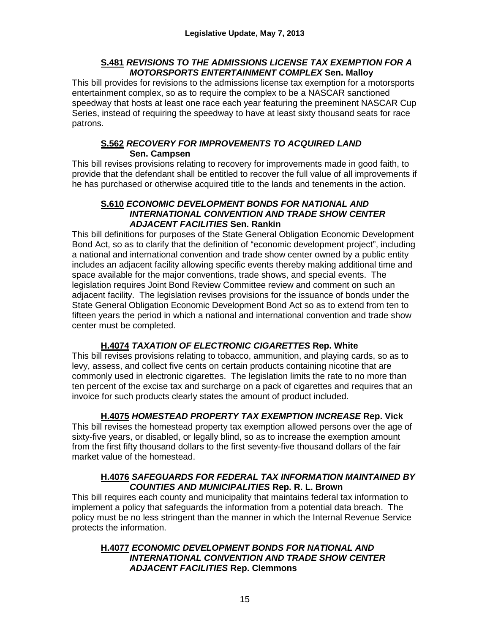#### **S.481** *REVISIONS TO THE ADMISSIONS LICENSE TAX EXEMPTION FOR A MOTORSPORTS ENTERTAINMENT COMPLEX* **Sen. Malloy**

This bill provides for revisions to the admissions license tax exemption for a motorsports entertainment complex, so as to require the complex to be a NASCAR sanctioned speedway that hosts at least one race each year featuring the preeminent NASCAR Cup Series, instead of requiring the speedway to have at least sixty thousand seats for race patrons.

#### **S.562** *RECOVERY FOR IMPROVEMENTS TO ACQUIRED LAND* **Sen. Campsen**

This bill revises provisions relating to recovery for improvements made in good faith, to provide that the defendant shall be entitled to recover the full value of all improvements if he has purchased or otherwise acquired title to the lands and tenements in the action.

#### **S.610** *ECONOMIC DEVELOPMENT BONDS FOR NATIONAL AND INTERNATIONAL CONVENTION AND TRADE SHOW CENTER ADJACENT FACILITIES* **Sen. Rankin**

This bill definitions for purposes of the State General Obligation Economic Development Bond Act, so as to clarify that the definition of "economic development project", including a national and international convention and trade show center owned by a public entity includes an adjacent facility allowing specific events thereby making additional time and space available for the major conventions, trade shows, and special events. The legislation requires Joint Bond Review Committee review and comment on such an adjacent facility. The legislation revises provisions for the issuance of bonds under the State General Obligation Economic Development Bond Act so as to extend from ten to fifteen years the period in which a national and international convention and trade show center must be completed.

# **H.4074** *TAXATION OF ELECTRONIC CIGARETTES* **Rep. White**

This bill revises provisions relating to tobacco, ammunition, and playing cards, so as to levy, assess, and collect five cents on certain products containing nicotine that are commonly used in electronic cigarettes. The legislation limits the rate to no more than ten percent of the excise tax and surcharge on a pack of cigarettes and requires that an invoice for such products clearly states the amount of product included.

# **H.4075** *HOMESTEAD PROPERTY TAX EXEMPTION INCREASE* **Rep. Vick**

This bill revises the homestead property tax exemption allowed persons over the age of sixty-five years, or disabled, or legally blind, so as to increase the exemption amount from the first fifty thousand dollars to the first seventy-five thousand dollars of the fair market value of the homestead.

#### **H.4076** *SAFEGUARDS FOR FEDERAL TAX INFORMATION MAINTAINED BY COUNTIES AND MUNICIPALITIES* **Rep. R. L. Brown**

This bill requires each county and municipality that maintains federal tax information to implement a policy that safeguards the information from a potential data breach. The policy must be no less stringent than the manner in which the Internal Revenue Service protects the information.

#### **H.4077** *ECONOMIC DEVELOPMENT BONDS FOR NATIONAL AND INTERNATIONAL CONVENTION AND TRADE SHOW CENTER ADJACENT FACILITIES* **Rep. Clemmons**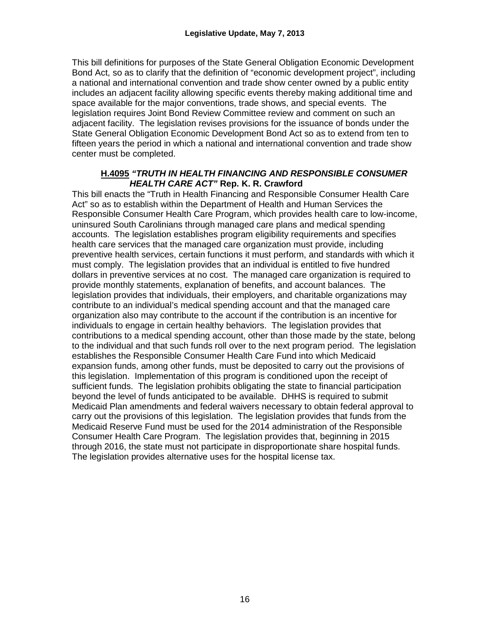This bill definitions for purposes of the State General Obligation Economic Development Bond Act, so as to clarify that the definition of "economic development project", including a national and international convention and trade show center owned by a public entity includes an adjacent facility allowing specific events thereby making additional time and space available for the major conventions, trade shows, and special events. The legislation requires Joint Bond Review Committee review and comment on such an adjacent facility. The legislation revises provisions for the issuance of bonds under the State General Obligation Economic Development Bond Act so as to extend from ten to fifteen years the period in which a national and international convention and trade show center must be completed.

#### **H.4095** *"TRUTH IN HEALTH FINANCING AND RESPONSIBLE CONSUMER HEALTH CARE ACT"* **Rep. K. R. Crawford**

This bill enacts the "Truth in Health Financing and Responsible Consumer Health Care Act" so as to establish within the Department of Health and Human Services the Responsible Consumer Health Care Program, which provides health care to low-income, uninsured South Carolinians through managed care plans and medical spending accounts. The legislation establishes program eligibility requirements and specifies health care services that the managed care organization must provide, including preventive health services, certain functions it must perform, and standards with which it must comply. The legislation provides that an individual is entitled to five hundred dollars in preventive services at no cost. The managed care organization is required to provide monthly statements, explanation of benefits, and account balances. The legislation provides that individuals, their employers, and charitable organizations may contribute to an individual's medical spending account and that the managed care organization also may contribute to the account if the contribution is an incentive for individuals to engage in certain healthy behaviors. The legislation provides that contributions to a medical spending account, other than those made by the state, belong to the individual and that such funds roll over to the next program period. The legislation establishes the Responsible Consumer Health Care Fund into which Medicaid expansion funds, among other funds, must be deposited to carry out the provisions of this legislation. Implementation of this program is conditioned upon the receipt of sufficient funds. The legislation prohibits obligating the state to financial participation beyond the level of funds anticipated to be available. DHHS is required to submit Medicaid Plan amendments and federal waivers necessary to obtain federal approval to carry out the provisions of this legislation. The legislation provides that funds from the Medicaid Reserve Fund must be used for the 2014 administration of the Responsible Consumer Health Care Program. The legislation provides that, beginning in 2015 through 2016, the state must not participate in disproportionate share hospital funds. The legislation provides alternative uses for the hospital license tax.